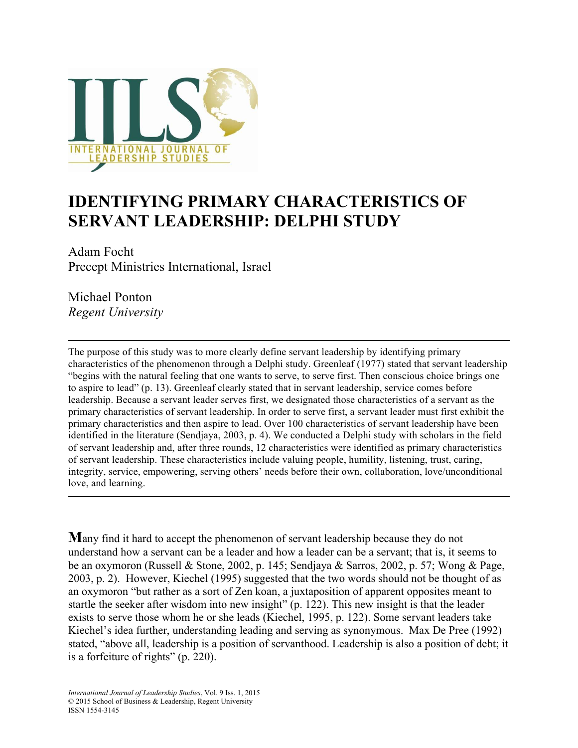

# **IDENTIFYING PRIMARY CHARACTERISTICS OF SERVANT LEADERSHIP: DELPHI STUDY**

Adam Focht Precept Ministries International, Israel

Michael Ponton *Regent University*

The purpose of this study was to more clearly define servant leadership by identifying primary characteristics of the phenomenon through a Delphi study. Greenleaf (1977) stated that servant leadership "begins with the natural feeling that one wants to serve, to serve first. Then conscious choice brings one to aspire to lead" (p. 13). Greenleaf clearly stated that in servant leadership, service comes before leadership. Because a servant leader serves first, we designated those characteristics of a servant as the primary characteristics of servant leadership. In order to serve first, a servant leader must first exhibit the primary characteristics and then aspire to lead. Over 100 characteristics of servant leadership have been identified in the literature (Sendjaya, 2003, p. 4). We conducted a Delphi study with scholars in the field of servant leadership and, after three rounds, 12 characteristics were identified as primary characteristics of servant leadership. These characteristics include valuing people, humility, listening, trust, caring, integrity, service, empowering, serving others' needs before their own, collaboration, love/unconditional love, and learning.

**M**any find it hard to accept the phenomenon of servant leadership because they do not understand how a servant can be a leader and how a leader can be a servant; that is, it seems to be an oxymoron (Russell & Stone, 2002, p. 145; Sendjaya & Sarros, 2002, p. 57; Wong & Page, 2003, p. 2). However, Kiechel (1995) suggested that the two words should not be thought of as an oxymoron "but rather as a sort of Zen koan, a juxtaposition of apparent opposites meant to startle the seeker after wisdom into new insight" (p. 122). This new insight is that the leader exists to serve those whom he or she leads (Kiechel, 1995, p. 122). Some servant leaders take Kiechel's idea further, understanding leading and serving as synonymous. Max De Pree (1992) stated, "above all, leadership is a position of servanthood. Leadership is also a position of debt; it is a forfeiture of rights" (p. 220).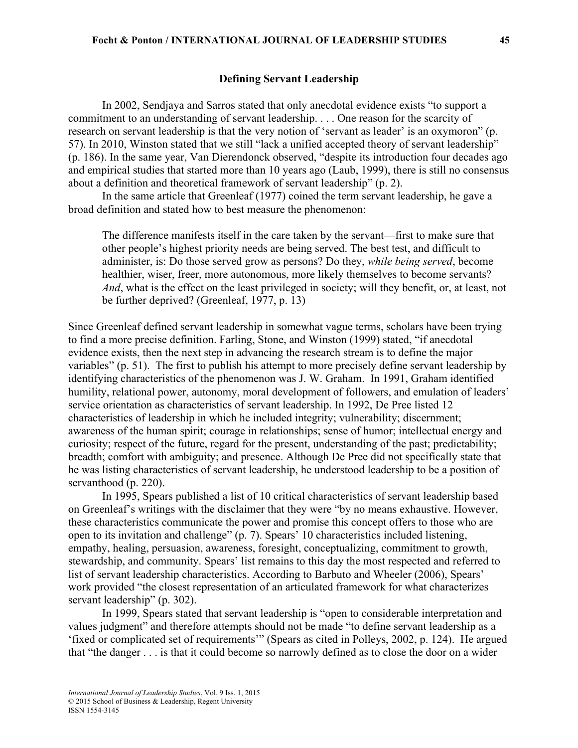#### **Defining Servant Leadership**

In 2002, Sendjaya and Sarros stated that only anecdotal evidence exists "to support a commitment to an understanding of servant leadership. . . . One reason for the scarcity of research on servant leadership is that the very notion of 'servant as leader' is an oxymoron" (p. 57). In 2010, Winston stated that we still "lack a unified accepted theory of servant leadership" (p. 186). In the same year, Van Dierendonck observed, "despite its introduction four decades ago and empirical studies that started more than 10 years ago (Laub, 1999), there is still no consensus about a definition and theoretical framework of servant leadership" (p. 2).

In the same article that Greenleaf (1977) coined the term servant leadership, he gave a broad definition and stated how to best measure the phenomenon:

The difference manifests itself in the care taken by the servant—first to make sure that other people's highest priority needs are being served. The best test, and difficult to administer, is: Do those served grow as persons? Do they, *while being served*, become healthier, wiser, freer, more autonomous, more likely themselves to become servants? *And*, what is the effect on the least privileged in society; will they benefit, or, at least, not be further deprived? (Greenleaf, 1977, p. 13)

Since Greenleaf defined servant leadership in somewhat vague terms, scholars have been trying to find a more precise definition. Farling, Stone, and Winston (1999) stated, "if anecdotal evidence exists, then the next step in advancing the research stream is to define the major variables" (p. 51). The first to publish his attempt to more precisely define servant leadership by identifying characteristics of the phenomenon was J. W. Graham. In 1991, Graham identified humility, relational power, autonomy, moral development of followers, and emulation of leaders' service orientation as characteristics of servant leadership. In 1992, De Pree listed 12 characteristics of leadership in which he included integrity; vulnerability; discernment; awareness of the human spirit; courage in relationships; sense of humor; intellectual energy and curiosity; respect of the future, regard for the present, understanding of the past; predictability; breadth; comfort with ambiguity; and presence. Although De Pree did not specifically state that he was listing characteristics of servant leadership, he understood leadership to be a position of servanthood (p. 220).

In 1995, Spears published a list of 10 critical characteristics of servant leadership based on Greenleaf's writings with the disclaimer that they were "by no means exhaustive. However, these characteristics communicate the power and promise this concept offers to those who are open to its invitation and challenge" (p. 7). Spears' 10 characteristics included listening, empathy, healing, persuasion, awareness, foresight, conceptualizing, commitment to growth, stewardship, and community. Spears' list remains to this day the most respected and referred to list of servant leadership characteristics. According to Barbuto and Wheeler (2006), Spears' work provided "the closest representation of an articulated framework for what characterizes servant leadership" (p. 302).

In 1999, Spears stated that servant leadership is "open to considerable interpretation and values judgment" and therefore attempts should not be made "to define servant leadership as a 'fixed or complicated set of requirements'" (Spears as cited in Polleys, 2002, p. 124). He argued that "the danger . . . is that it could become so narrowly defined as to close the door on a wider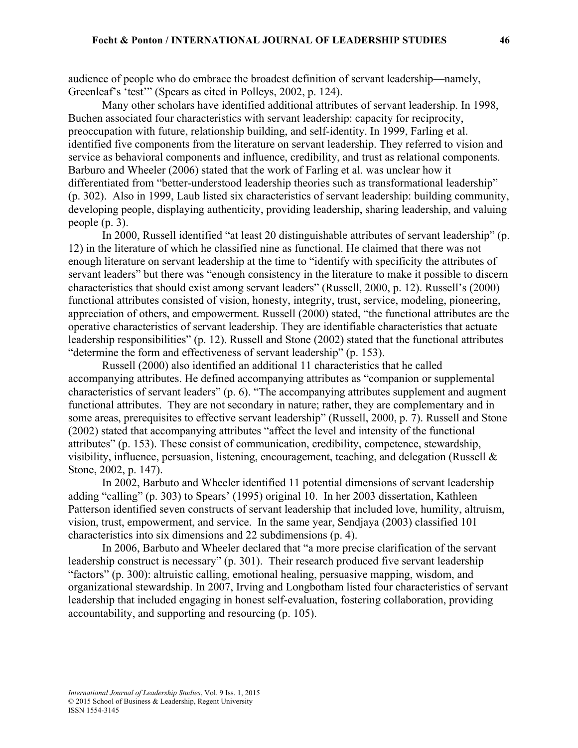audience of people who do embrace the broadest definition of servant leadership—namely, Greenleaf's 'test'" (Spears as cited in Polleys, 2002, p. 124).

Many other scholars have identified additional attributes of servant leadership. In 1998, Buchen associated four characteristics with servant leadership: capacity for reciprocity, preoccupation with future, relationship building, and self-identity. In 1999, Farling et al. identified five components from the literature on servant leadership. They referred to vision and service as behavioral components and influence, credibility, and trust as relational components. Barburo and Wheeler (2006) stated that the work of Farling et al. was unclear how it differentiated from "better-understood leadership theories such as transformational leadership" (p. 302). Also in 1999, Laub listed six characteristics of servant leadership: building community, developing people, displaying authenticity, providing leadership, sharing leadership, and valuing people (p. 3).

In 2000, Russell identified "at least 20 distinguishable attributes of servant leadership" (p. 12) in the literature of which he classified nine as functional. He claimed that there was not enough literature on servant leadership at the time to "identify with specificity the attributes of servant leaders" but there was "enough consistency in the literature to make it possible to discern characteristics that should exist among servant leaders" (Russell, 2000, p. 12). Russell's (2000) functional attributes consisted of vision, honesty, integrity, trust, service, modeling, pioneering, appreciation of others, and empowerment. Russell (2000) stated, "the functional attributes are the operative characteristics of servant leadership. They are identifiable characteristics that actuate leadership responsibilities" (p. 12). Russell and Stone (2002) stated that the functional attributes "determine the form and effectiveness of servant leadership" (p. 153).

Russell (2000) also identified an additional 11 characteristics that he called accompanying attributes. He defined accompanying attributes as "companion or supplemental characteristics of servant leaders" (p. 6). "The accompanying attributes supplement and augment functional attributes. They are not secondary in nature; rather, they are complementary and in some areas, prerequisites to effective servant leadership" (Russell, 2000, p. 7). Russell and Stone (2002) stated that accompanying attributes "affect the level and intensity of the functional attributes" (p. 153). These consist of communication, credibility, competence, stewardship, visibility, influence, persuasion, listening, encouragement, teaching, and delegation (Russell & Stone, 2002, p. 147).

In 2002, Barbuto and Wheeler identified 11 potential dimensions of servant leadership adding "calling" (p. 303) to Spears' (1995) original 10. In her 2003 dissertation, Kathleen Patterson identified seven constructs of servant leadership that included love, humility, altruism, vision, trust, empowerment, and service. In the same year, Sendjaya (2003) classified 101 characteristics into six dimensions and 22 subdimensions (p. 4).

In 2006, Barbuto and Wheeler declared that "a more precise clarification of the servant leadership construct is necessary" (p. 301). Their research produced five servant leadership "factors" (p. 300): altruistic calling, emotional healing, persuasive mapping, wisdom, and organizational stewardship. In 2007, Irving and Longbotham listed four characteristics of servant leadership that included engaging in honest self-evaluation, fostering collaboration, providing accountability, and supporting and resourcing (p. 105).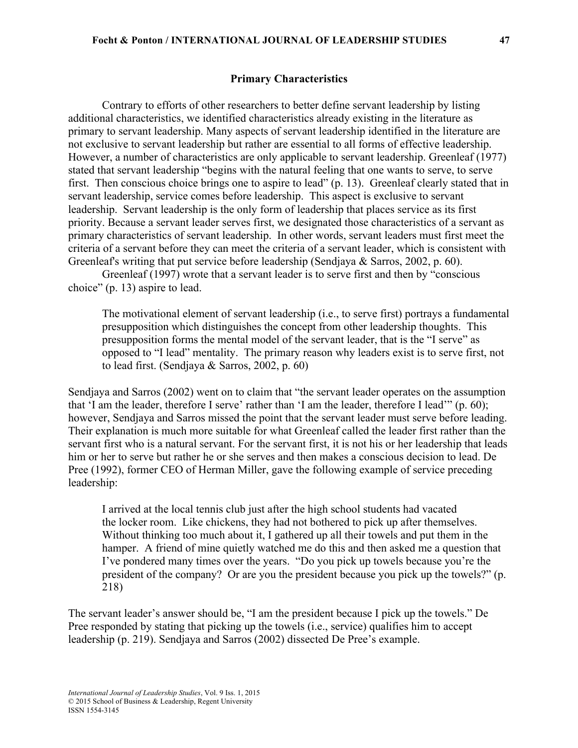### **Primary Characteristics**

Contrary to efforts of other researchers to better define servant leadership by listing additional characteristics, we identified characteristics already existing in the literature as primary to servant leadership. Many aspects of servant leadership identified in the literature are not exclusive to servant leadership but rather are essential to all forms of effective leadership. However, a number of characteristics are only applicable to servant leadership. Greenleaf (1977) stated that servant leadership "begins with the natural feeling that one wants to serve, to serve first. Then conscious choice brings one to aspire to lead" (p. 13). Greenleaf clearly stated that in servant leadership, service comes before leadership. This aspect is exclusive to servant leadership. Servant leadership is the only form of leadership that places service as its first priority. Because a servant leader serves first, we designated those characteristics of a servant as primary characteristics of servant leadership. In other words, servant leaders must first meet the criteria of a servant before they can meet the criteria of a servant leader, which is consistent with Greenleaf's writing that put service before leadership (Sendjaya & Sarros, 2002, p. 60).

Greenleaf (1997) wrote that a servant leader is to serve first and then by "conscious choice" (p. 13) aspire to lead.

The motivational element of servant leadership (i.e., to serve first) portrays a fundamental presupposition which distinguishes the concept from other leadership thoughts. This presupposition forms the mental model of the servant leader, that is the "I serve" as opposed to "I lead" mentality. The primary reason why leaders exist is to serve first, not to lead first. (Sendjaya & Sarros, 2002, p. 60)

Sendjaya and Sarros (2002) went on to claim that "the servant leader operates on the assumption that 'I am the leader, therefore I serve' rather than 'I am the leader, therefore I lead'" (p. 60); however, Sendjaya and Sarros missed the point that the servant leader must serve before leading. Their explanation is much more suitable for what Greenleaf called the leader first rather than the servant first who is a natural servant. For the servant first, it is not his or her leadership that leads him or her to serve but rather he or she serves and then makes a conscious decision to lead. De Pree (1992), former CEO of Herman Miller, gave the following example of service preceding leadership:

 I arrived at the local tennis club just after the high school students had vacated the locker room. Like chickens, they had not bothered to pick up after themselves. Without thinking too much about it, I gathered up all their towels and put them in the hamper. A friend of mine quietly watched me do this and then asked me a question that I've pondered many times over the years. "Do you pick up towels because you're the president of the company? Or are you the president because you pick up the towels?" (p. 218)

The servant leader's answer should be, "I am the president because I pick up the towels." De Pree responded by stating that picking up the towels (i.e., service) qualifies him to accept leadership (p. 219). Sendjaya and Sarros (2002) dissected De Pree's example.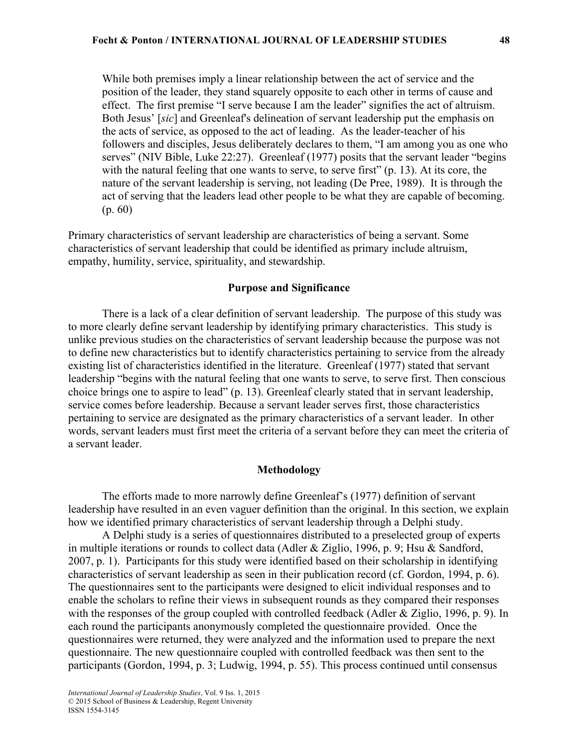While both premises imply a linear relationship between the act of service and the position of the leader, they stand squarely opposite to each other in terms of cause and effect. The first premise "I serve because I am the leader" signifies the act of altruism. Both Jesus' [*sic*] and Greenleaf's delineation of servant leadership put the emphasis on the acts of service, as opposed to the act of leading. As the leader-teacher of his followers and disciples, Jesus deliberately declares to them, "I am among you as one who serves" (NIV Bible, Luke 22:27). Greenleaf (1977) posits that the servant leader "begins with the natural feeling that one wants to serve, to serve first" (p. 13). At its core, the nature of the servant leadership is serving, not leading (De Pree, 1989). It is through the act of serving that the leaders lead other people to be what they are capable of becoming. (p. 60)

Primary characteristics of servant leadership are characteristics of being a servant. Some characteristics of servant leadership that could be identified as primary include altruism, empathy, humility, service, spirituality, and stewardship.

## **Purpose and Significance**

There is a lack of a clear definition of servant leadership. The purpose of this study was to more clearly define servant leadership by identifying primary characteristics. This study is unlike previous studies on the characteristics of servant leadership because the purpose was not to define new characteristics but to identify characteristics pertaining to service from the already existing list of characteristics identified in the literature. Greenleaf (1977) stated that servant leadership "begins with the natural feeling that one wants to serve, to serve first. Then conscious choice brings one to aspire to lead" (p. 13). Greenleaf clearly stated that in servant leadership, service comes before leadership. Because a servant leader serves first, those characteristics pertaining to service are designated as the primary characteristics of a servant leader. In other words, servant leaders must first meet the criteria of a servant before they can meet the criteria of a servant leader.

#### **Methodology**

The efforts made to more narrowly define Greenleaf's (1977) definition of servant leadership have resulted in an even vaguer definition than the original. In this section, we explain how we identified primary characteristics of servant leadership through a Delphi study.

A Delphi study is a series of questionnaires distributed to a preselected group of experts in multiple iterations or rounds to collect data (Adler & Ziglio, 1996, p. 9; Hsu & Sandford, 2007, p. 1). Participants for this study were identified based on their scholarship in identifying characteristics of servant leadership as seen in their publication record (cf. Gordon, 1994, p. 6). The questionnaires sent to the participants were designed to elicit individual responses and to enable the scholars to refine their views in subsequent rounds as they compared their responses with the responses of the group coupled with controlled feedback (Adler & Ziglio, 1996, p. 9). In each round the participants anonymously completed the questionnaire provided. Once the questionnaires were returned, they were analyzed and the information used to prepare the next questionnaire. The new questionnaire coupled with controlled feedback was then sent to the participants (Gordon, 1994, p. 3; Ludwig, 1994, p. 55). This process continued until consensus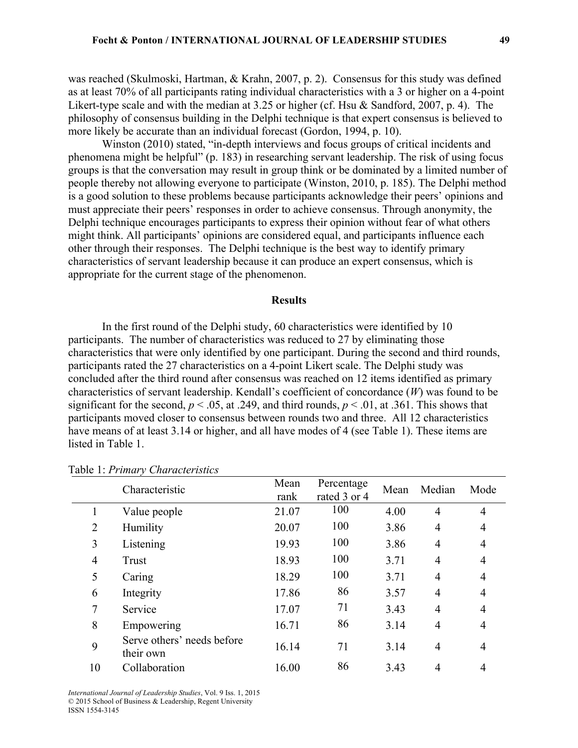was reached (Skulmoski, Hartman, & Krahn, 2007, p. 2). Consensus for this study was defined as at least 70% of all participants rating individual characteristics with a 3 or higher on a 4-point Likert-type scale and with the median at 3.25 or higher (cf. Hsu & Sandford, 2007, p. 4). The philosophy of consensus building in the Delphi technique is that expert consensus is believed to more likely be accurate than an individual forecast (Gordon, 1994, p. 10).

Winston (2010) stated, "in-depth interviews and focus groups of critical incidents and phenomena might be helpful" (p. 183) in researching servant leadership. The risk of using focus groups is that the conversation may result in group think or be dominated by a limited number of people thereby not allowing everyone to participate (Winston, 2010, p. 185). The Delphi method is a good solution to these problems because participants acknowledge their peers' opinions and must appreciate their peers' responses in order to achieve consensus. Through anonymity, the Delphi technique encourages participants to express their opinion without fear of what others might think. All participants' opinions are considered equal, and participants influence each other through their responses. The Delphi technique is the best way to identify primary characteristics of servant leadership because it can produce an expert consensus, which is appropriate for the current stage of the phenomenon.

#### **Results**

In the first round of the Delphi study, 60 characteristics were identified by 10 participants. The number of characteristics was reduced to 27 by eliminating those characteristics that were only identified by one participant. During the second and third rounds, participants rated the 27 characteristics on a 4-point Likert scale. The Delphi study was concluded after the third round after consensus was reached on 12 items identified as primary characteristics of servant leadership. Kendall's coefficient of concordance (*W*) was found to be significant for the second,  $p < .05$ , at .249, and third rounds,  $p < .01$ , at .361. This shows that participants moved closer to consensus between rounds two and three. All 12 characteristics have means of at least 3.14 or higher, and all have modes of 4 (see Table 1). These items are listed in Table 1.

|                | Characteristic                          | Mean<br>rank | Percentage<br>rated 3 or 4 | Mean | Median         | Mode           |
|----------------|-----------------------------------------|--------------|----------------------------|------|----------------|----------------|
|                | Value people                            | 21.07        | 100                        | 4.00 | $\overline{4}$ | $\overline{4}$ |
| $\overline{2}$ | Humility                                | 20.07        | 100                        | 3.86 | 4              | $\overline{4}$ |
| $\overline{3}$ | Listening                               | 19.93        | 100                        | 3.86 | 4              | $\overline{4}$ |
| $\overline{4}$ | Trust                                   | 18.93        | 100                        | 3.71 | $\overline{4}$ | $\overline{4}$ |
| 5              | Caring                                  | 18.29        | 100                        | 3.71 | 4              | $\overline{4}$ |
| 6              | Integrity                               | 17.86        | 86                         | 3.57 | 4              | $\overline{4}$ |
| $\overline{7}$ | Service                                 | 17.07        | 71                         | 3.43 | 4              | $\overline{4}$ |
| 8              | Empowering                              | 16.71        | 86                         | 3.14 | $\overline{4}$ | $\overline{4}$ |
| 9              | Serve others' needs before<br>their own | 16.14        | 71                         | 3.14 | 4              | $\overline{4}$ |
| 10             | Collaboration                           | 16.00        | 86                         | 3.43 | 4              | 4              |

Table 1: *Primary Characteristics*

*International Journal of Leadership Studies*, Vol. 9 Iss. 1, 2015 © 2015 School of Business & Leadership, Regent University ISSN 1554-3145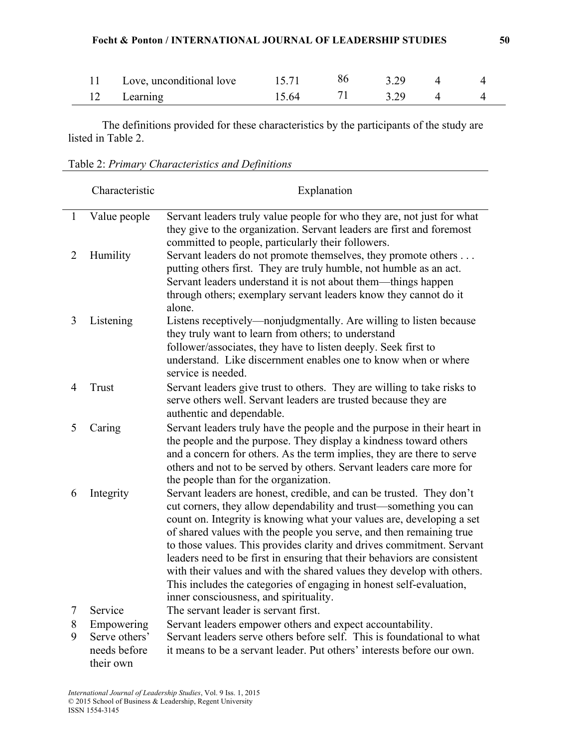| Love, unconditional love | 15.71 |      |  |
|--------------------------|-------|------|--|
| Learning                 | 15 64 | 3.29 |  |

The definitions provided for these characteristics by the participants of the study are listed in Table 2.

L,

|              | Characteristic | Explanation                                                                                                                                     |
|--------------|----------------|-------------------------------------------------------------------------------------------------------------------------------------------------|
| $\mathbf{1}$ | Value people   | Servant leaders truly value people for who they are, not just for what<br>they give to the organization. Servant leaders are first and foremost |
|              |                | committed to people, particularly their followers.                                                                                              |
| 2            | Humility       | Servant leaders do not promote themselves, they promote others                                                                                  |
|              |                | putting others first. They are truly humble, not humble as an act.                                                                              |
|              |                | Servant leaders understand it is not about them—things happen<br>through others; exemplary servant leaders know they cannot do it               |
|              |                | alone.                                                                                                                                          |
| 3            | Listening      | Listens receptively—nonjudgmentally. Are willing to listen because                                                                              |
|              |                | they truly want to learn from others; to understand                                                                                             |
|              |                | follower/associates, they have to listen deeply. Seek first to                                                                                  |
|              |                | understand. Like discernment enables one to know when or where<br>service is needed.                                                            |
| 4            | Trust          | Servant leaders give trust to others. They are willing to take risks to                                                                         |
|              |                | serve others well. Servant leaders are trusted because they are                                                                                 |
|              |                | authentic and dependable.                                                                                                                       |
| 5            | Caring         | Servant leaders truly have the people and the purpose in their heart in                                                                         |
|              |                | the people and the purpose. They display a kindness toward others                                                                               |
|              |                | and a concern for others. As the term implies, they are there to serve                                                                          |
|              |                | others and not to be served by others. Servant leaders care more for                                                                            |
|              |                | the people than for the organization.                                                                                                           |
| 6            | Integrity      | Servant leaders are honest, credible, and can be trusted. They don't<br>cut corners, they allow dependability and trust—something you can       |
|              |                | count on. Integrity is knowing what your values are, developing a set                                                                           |
|              |                | of shared values with the people you serve, and then remaining true                                                                             |
|              |                | to those values. This provides clarity and drives commitment. Servant                                                                           |
|              |                | leaders need to be first in ensuring that their behaviors are consistent                                                                        |
|              |                | with their values and with the shared values they develop with others.                                                                          |
|              |                | This includes the categories of engaging in honest self-evaluation,<br>inner consciousness, and spirituality.                                   |
| 7            | Service        | The servant leader is servant first.                                                                                                            |
| 8            | Empowering     | Servant leaders empower others and expect accountability.                                                                                       |
| 9            | Serve others'  | Servant leaders serve others before self. This is foundational to what                                                                          |

needs before their own it means to be a servant leader. Put others' interests before our own.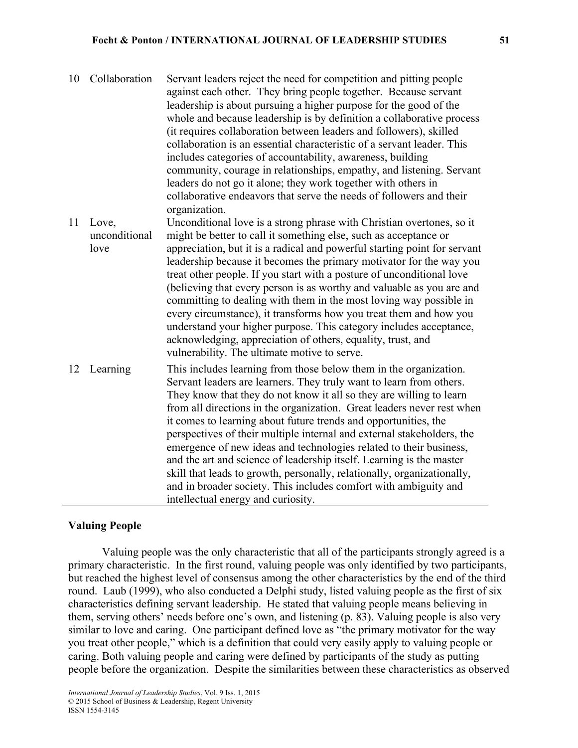- 10 Collaboration Servant leaders reject the need for competition and pitting people against each other. They bring people together. Because servant leadership is about pursuing a higher purpose for the good of the whole and because leadership is by definition a collaborative process (it requires collaboration between leaders and followers), skilled collaboration is an essential characteristic of a servant leader. This includes categories of accountability, awareness, building community, courage in relationships, empathy, and listening. Servant leaders do not go it alone; they work together with others in collaborative endeavors that serve the needs of followers and their organization. 11 Love, Unconditional love is a strong phrase with Christian overtones, so it
- unconditional love might be better to call it something else, such as acceptance or appreciation, but it is a radical and powerful starting point for servant leadership because it becomes the primary motivator for the way you treat other people. If you start with a posture of unconditional love (believing that every person is as worthy and valuable as you are and committing to dealing with them in the most loving way possible in every circumstance), it transforms how you treat them and how you understand your higher purpose. This category includes acceptance, acknowledging, appreciation of others, equality, trust, and vulnerability. The ultimate motive to serve.
- 12 Learning This includes learning from those below them in the organization. Servant leaders are learners. They truly want to learn from others. They know that they do not know it all so they are willing to learn from all directions in the organization. Great leaders never rest when it comes to learning about future trends and opportunities, the perspectives of their multiple internal and external stakeholders, the emergence of new ideas and technologies related to their business, and the art and science of leadership itself. Learning is the master skill that leads to growth, personally, relationally, organizationally, and in broader society. This includes comfort with ambiguity and intellectual energy and curiosity.

# **Valuing People**

Valuing people was the only characteristic that all of the participants strongly agreed is a primary characteristic. In the first round, valuing people was only identified by two participants, but reached the highest level of consensus among the other characteristics by the end of the third round. Laub (1999), who also conducted a Delphi study, listed valuing people as the first of six characteristics defining servant leadership. He stated that valuing people means believing in them, serving others' needs before one's own, and listening (p. 83). Valuing people is also very similar to love and caring. One participant defined love as "the primary motivator for the way you treat other people," which is a definition that could very easily apply to valuing people or caring. Both valuing people and caring were defined by participants of the study as putting people before the organization. Despite the similarities between these characteristics as observed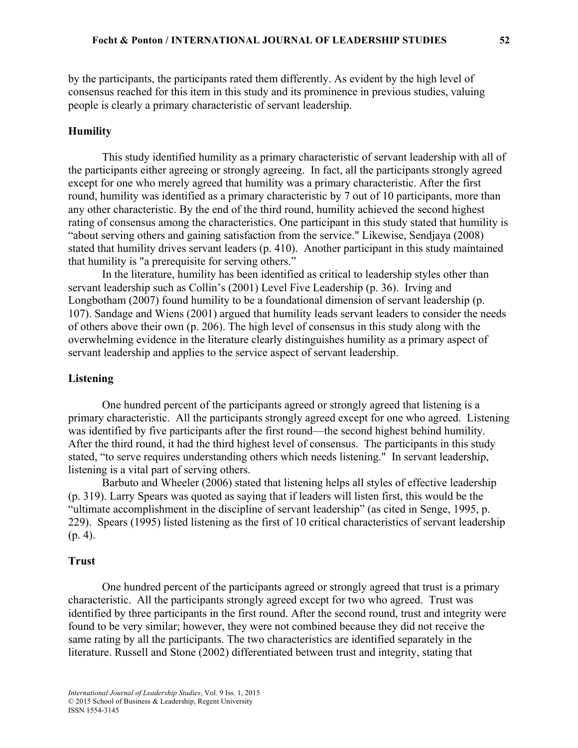by the participants, the participants rated them differently. As evident by the high level of consensus reached for this item in this study and its prominence in previous studies, valuing people is clearly a primary characteristic of servant leadership.

# **Humility**

This study identified humility as a primary characteristic of servant leadership with all of the participants either agreeing or strongly agreeing. In fact, all the participants strongly agreed except for one who merely agreed that humility was a primary characteristic. After the first round, humility was identified as a primary characteristic by 7 out of 10 participants, more than any other characteristic. By the end of the third round, humility achieved the second highest rating of consensus among the characteristics. One participant in this study stated that humility is "about serving others and gaining satisfaction from the service." Likewise, Sendjaya (2008) stated that humility drives servant leaders (p. 410). Another participant in this study maintained that humility is "a prerequisite for serving others."

In the literature, humility has been identified as critical to leadership styles other than servant leadership such as Collin's (2001) Level Five Leadership (p. 36). Irving and Longbotham (2007) found humility to be a foundational dimension of servant leadership (p. 107). Sandage and Wiens (2001) argued that humility leads servant leaders to consider the needs of others above their own (p. 206). The high level of consensus in this study along with the overwhelming evidence in the literature clearly distinguishes humility as a primary aspect of servant leadership and applies to the service aspect of servant leadership.

## **Listening**

One hundred percent of the participants agreed or strongly agreed that listening is a primary characteristic. All the participants strongly agreed except for one who agreed. Listening was identified by five participants after the first round—the second highest behind humility. After the third round, it had the third highest level of consensus. The participants in this study stated, "to serve requires understanding others which needs listening." In servant leadership, listening is a vital part of serving others.

Barbuto and Wheeler (2006) stated that listening helps all styles of effective leadership (p. 319). Larry Spears was quoted as saying that if leaders will listen first, this would be the "ultimate accomplishment in the discipline of servant leadership" (as cited in Senge, 1995, p. 229). Spears (1995) listed listening as the first of 10 critical characteristics of servant leadership (p. 4).

## **Trust**

One hundred percent of the participants agreed or strongly agreed that trust is a primary characteristic. All the participants strongly agreed except for two who agreed. Trust was identified by three participants in the first round. After the second round, trust and integrity were found to be very similar; however, they were not combined because they did not receive the same rating by all the participants. The two characteristics are identified separately in the literature. Russell and Stone (2002) differentiated between trust and integrity, stating that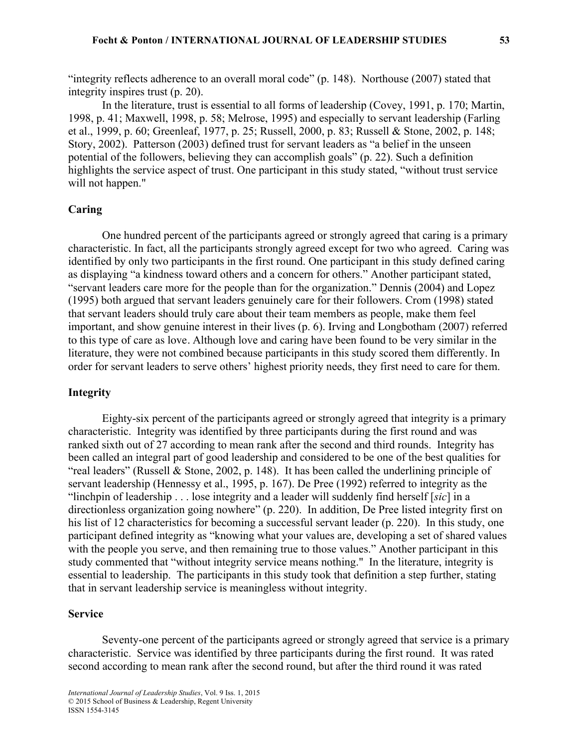"integrity reflects adherence to an overall moral code" (p. 148). Northouse (2007) stated that integrity inspires trust (p. 20).

In the literature, trust is essential to all forms of leadership (Covey, 1991, p. 170; Martin, 1998, p. 41; Maxwell, 1998, p. 58; Melrose, 1995) and especially to servant leadership (Farling et al., 1999, p. 60; Greenleaf, 1977, p. 25; Russell, 2000, p. 83; Russell & Stone, 2002, p. 148; Story, 2002). Patterson (2003) defined trust for servant leaders as "a belief in the unseen potential of the followers, believing they can accomplish goals" (p. 22). Such a definition highlights the service aspect of trust. One participant in this study stated, "without trust service will not happen."

# **Caring**

One hundred percent of the participants agreed or strongly agreed that caring is a primary characteristic. In fact, all the participants strongly agreed except for two who agreed. Caring was identified by only two participants in the first round. One participant in this study defined caring as displaying "a kindness toward others and a concern for others." Another participant stated, "servant leaders care more for the people than for the organization." Dennis (2004) and Lopez (1995) both argued that servant leaders genuinely care for their followers. Crom (1998) stated that servant leaders should truly care about their team members as people, make them feel important, and show genuine interest in their lives (p. 6). Irving and Longbotham (2007) referred to this type of care as love. Although love and caring have been found to be very similar in the literature, they were not combined because participants in this study scored them differently. In order for servant leaders to serve others' highest priority needs, they first need to care for them.

## **Integrity**

Eighty-six percent of the participants agreed or strongly agreed that integrity is a primary characteristic. Integrity was identified by three participants during the first round and was ranked sixth out of 27 according to mean rank after the second and third rounds. Integrity has been called an integral part of good leadership and considered to be one of the best qualities for "real leaders" (Russell & Stone, 2002, p. 148). It has been called the underlining principle of servant leadership (Hennessy et al., 1995, p. 167). De Pree (1992) referred to integrity as the "linchpin of leadership . . . lose integrity and a leader will suddenly find herself [*sic*] in a directionless organization going nowhere" (p. 220). In addition, De Pree listed integrity first on his list of 12 characteristics for becoming a successful servant leader (p. 220). In this study, one participant defined integrity as "knowing what your values are, developing a set of shared values with the people you serve, and then remaining true to those values." Another participant in this study commented that "without integrity service means nothing." In the literature, integrity is essential to leadership. The participants in this study took that definition a step further, stating that in servant leadership service is meaningless without integrity.

# **Service**

Seventy-one percent of the participants agreed or strongly agreed that service is a primary characteristic. Service was identified by three participants during the first round. It was rated second according to mean rank after the second round, but after the third round it was rated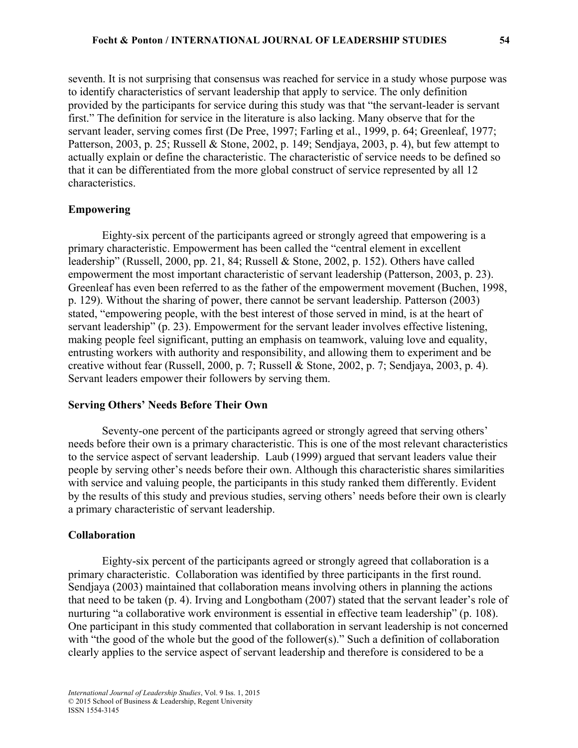seventh. It is not surprising that consensus was reached for service in a study whose purpose was to identify characteristics of servant leadership that apply to service. The only definition provided by the participants for service during this study was that "the servant-leader is servant first." The definition for service in the literature is also lacking. Many observe that for the servant leader, serving comes first (De Pree, 1997; Farling et al., 1999, p. 64; Greenleaf, 1977; Patterson, 2003, p. 25; Russell & Stone, 2002, p. 149; Sendjaya, 2003, p. 4), but few attempt to actually explain or define the characteristic. The characteristic of service needs to be defined so that it can be differentiated from the more global construct of service represented by all 12 characteristics.

## **Empowering**

Eighty-six percent of the participants agreed or strongly agreed that empowering is a primary characteristic. Empowerment has been called the "central element in excellent leadership" (Russell, 2000, pp. 21, 84; Russell & Stone, 2002, p. 152). Others have called empowerment the most important characteristic of servant leadership (Patterson, 2003, p. 23). Greenleaf has even been referred to as the father of the empowerment movement (Buchen, 1998, p. 129). Without the sharing of power, there cannot be servant leadership. Patterson (2003) stated, "empowering people, with the best interest of those served in mind, is at the heart of servant leadership" (p. 23). Empowerment for the servant leader involves effective listening, making people feel significant, putting an emphasis on teamwork, valuing love and equality, entrusting workers with authority and responsibility, and allowing them to experiment and be creative without fear (Russell, 2000, p. 7; Russell & Stone, 2002, p. 7; Sendjaya, 2003, p. 4). Servant leaders empower their followers by serving them.

## **Serving Others' Needs Before Their Own**

Seventy-one percent of the participants agreed or strongly agreed that serving others' needs before their own is a primary characteristic. This is one of the most relevant characteristics to the service aspect of servant leadership. Laub (1999) argued that servant leaders value their people by serving other's needs before their own. Although this characteristic shares similarities with service and valuing people, the participants in this study ranked them differently. Evident by the results of this study and previous studies, serving others' needs before their own is clearly a primary characteristic of servant leadership.

## **Collaboration**

Eighty-six percent of the participants agreed or strongly agreed that collaboration is a primary characteristic. Collaboration was identified by three participants in the first round. Sendjaya (2003) maintained that collaboration means involving others in planning the actions that need to be taken (p. 4). Irving and Longbotham (2007) stated that the servant leader's role of nurturing "a collaborative work environment is essential in effective team leadership" (p. 108). One participant in this study commented that collaboration in servant leadership is not concerned with "the good of the whole but the good of the follower(s)." Such a definition of collaboration clearly applies to the service aspect of servant leadership and therefore is considered to be a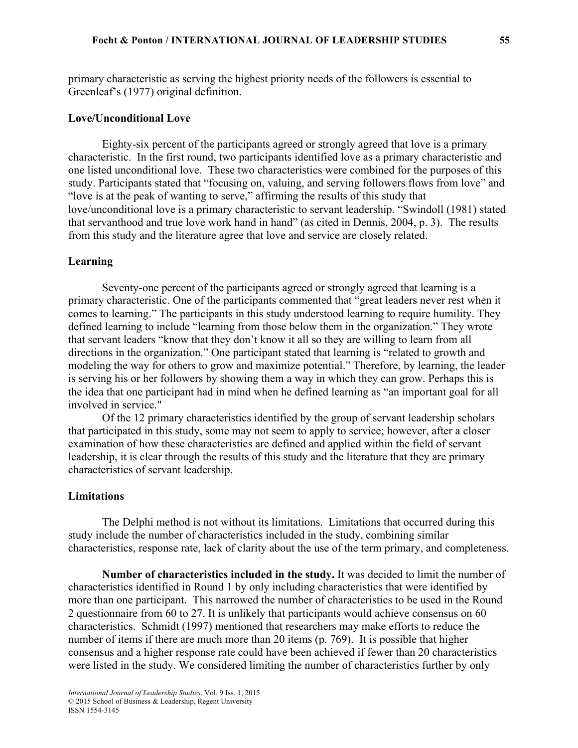primary characteristic as serving the highest priority needs of the followers is essential to Greenleaf's (1977) original definition.

#### **Love/Unconditional Love**

Eighty-six percent of the participants agreed or strongly agreed that love is a primary characteristic. In the first round, two participants identified love as a primary characteristic and one listed unconditional love. These two characteristics were combined for the purposes of this study. Participants stated that "focusing on, valuing, and serving followers flows from love" and "love is at the peak of wanting to serve," affirming the results of this study that love/unconditional love is a primary characteristic to servant leadership. "Swindoll (1981) stated that servanthood and true love work hand in hand" (as cited in Dennis, 2004, p. 3). The results from this study and the literature agree that love and service are closely related.

## **Learning**

Seventy-one percent of the participants agreed or strongly agreed that learning is a primary characteristic. One of the participants commented that "great leaders never rest when it comes to learning." The participants in this study understood learning to require humility. They defined learning to include "learning from those below them in the organization." They wrote that servant leaders "know that they don't know it all so they are willing to learn from all directions in the organization." One participant stated that learning is "related to growth and modeling the way for others to grow and maximize potential." Therefore, by learning, the leader is serving his or her followers by showing them a way in which they can grow. Perhaps this is the idea that one participant had in mind when he defined learning as "an important goal for all involved in service."

Of the 12 primary characteristics identified by the group of servant leadership scholars that participated in this study, some may not seem to apply to service; however, after a closer examination of how these characteristics are defined and applied within the field of servant leadership, it is clear through the results of this study and the literature that they are primary characteristics of servant leadership.

#### **Limitations**

 The Delphi method is not without its limitations. Limitations that occurred during this study include the number of characteristics included in the study, combining similar characteristics, response rate, lack of clarity about the use of the term primary, and completeness.

**Number of characteristics included in the study.** It was decided to limit the number of characteristics identified in Round 1 by only including characteristics that were identified by more than one participant. This narrowed the number of characteristics to be used in the Round 2 questionnaire from 60 to 27. It is unlikely that participants would achieve consensus on 60 characteristics. Schmidt (1997) mentioned that researchers may make efforts to reduce the number of items if there are much more than 20 items (p. 769). It is possible that higher consensus and a higher response rate could have been achieved if fewer than 20 characteristics were listed in the study. We considered limiting the number of characteristics further by only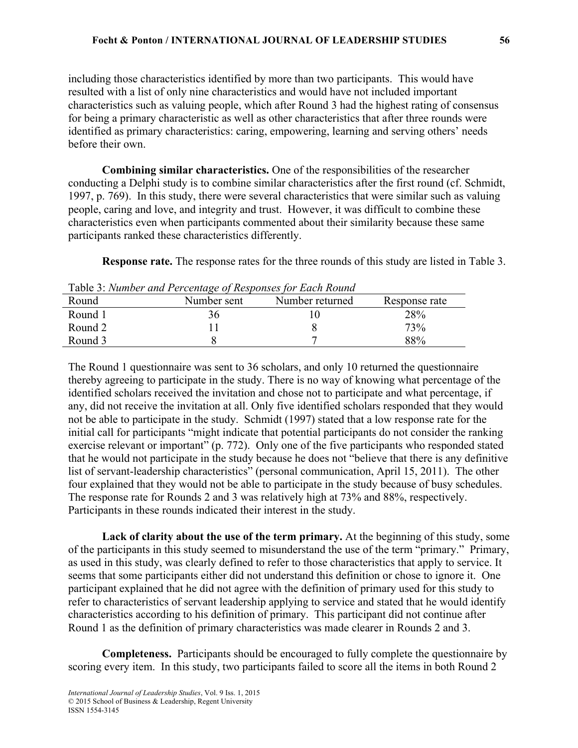including those characteristics identified by more than two participants. This would have resulted with a list of only nine characteristics and would have not included important characteristics such as valuing people, which after Round 3 had the highest rating of consensus for being a primary characteristic as well as other characteristics that after three rounds were identified as primary characteristics: caring, empowering, learning and serving others' needs before their own.

**Combining similar characteristics.** One of the responsibilities of the researcher conducting a Delphi study is to combine similar characteristics after the first round (cf. Schmidt, 1997, p. 769). In this study, there were several characteristics that were similar such as valuing people, caring and love, and integrity and trust. However, it was difficult to combine these characteristics even when participants commented about their similarity because these same participants ranked these characteristics differently.

**Response rate.** The response rates for the three rounds of this study are listed in Table 3.

| Round   | Number sent | Number returned | Response rate |
|---------|-------------|-----------------|---------------|
| Round 1 | 36          |                 | 28%           |
| Round 2 |             |                 | 73%           |
| Round 3 |             |                 | 88%           |

Table 3: *Number and Percentage of Responses for Each Round*

The Round 1 questionnaire was sent to 36 scholars, and only 10 returned the questionnaire thereby agreeing to participate in the study. There is no way of knowing what percentage of the identified scholars received the invitation and chose not to participate and what percentage, if any, did not receive the invitation at all. Only five identified scholars responded that they would not be able to participate in the study. Schmidt (1997) stated that a low response rate for the initial call for participants "might indicate that potential participants do not consider the ranking exercise relevant or important" (p. 772). Only one of the five participants who responded stated that he would not participate in the study because he does not "believe that there is any definitive list of servant-leadership characteristics" (personal communication, April 15, 2011). The other four explained that they would not be able to participate in the study because of busy schedules. The response rate for Rounds 2 and 3 was relatively high at 73% and 88%, respectively. Participants in these rounds indicated their interest in the study.

**Lack of clarity about the use of the term primary.** At the beginning of this study, some of the participants in this study seemed to misunderstand the use of the term "primary." Primary, as used in this study, was clearly defined to refer to those characteristics that apply to service. It seems that some participants either did not understand this definition or chose to ignore it. One participant explained that he did not agree with the definition of primary used for this study to refer to characteristics of servant leadership applying to service and stated that he would identify characteristics according to his definition of primary. This participant did not continue after Round 1 as the definition of primary characteristics was made clearer in Rounds 2 and 3.

**Completeness.** Participants should be encouraged to fully complete the questionnaire by scoring every item. In this study, two participants failed to score all the items in both Round 2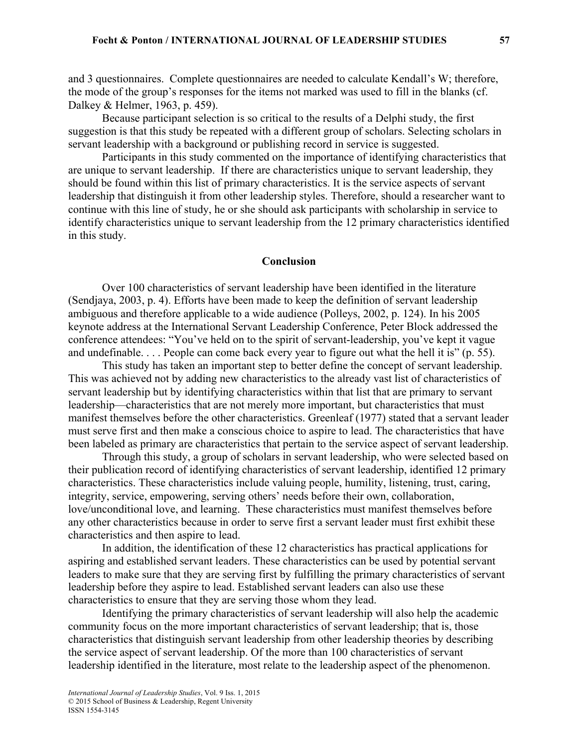and 3 questionnaires. Complete questionnaires are needed to calculate Kendall's W; therefore, the mode of the group's responses for the items not marked was used to fill in the blanks (cf. Dalkey & Helmer, 1963, p. 459).

Because participant selection is so critical to the results of a Delphi study, the first suggestion is that this study be repeated with a different group of scholars. Selecting scholars in servant leadership with a background or publishing record in service is suggested.

Participants in this study commented on the importance of identifying characteristics that are unique to servant leadership. If there are characteristics unique to servant leadership, they should be found within this list of primary characteristics. It is the service aspects of servant leadership that distinguish it from other leadership styles. Therefore, should a researcher want to continue with this line of study, he or she should ask participants with scholarship in service to identify characteristics unique to servant leadership from the 12 primary characteristics identified in this study.

## **Conclusion**

 Over 100 characteristics of servant leadership have been identified in the literature (Sendjaya, 2003, p. 4). Efforts have been made to keep the definition of servant leadership ambiguous and therefore applicable to a wide audience (Polleys, 2002, p. 124). In his 2005 keynote address at the International Servant Leadership Conference, Peter Block addressed the conference attendees: "You've held on to the spirit of servant-leadership, you've kept it vague and undefinable. . . . People can come back every year to figure out what the hell it is" (p. 55).

This study has taken an important step to better define the concept of servant leadership. This was achieved not by adding new characteristics to the already vast list of characteristics of servant leadership but by identifying characteristics within that list that are primary to servant leadership—characteristics that are not merely more important, but characteristics that must manifest themselves before the other characteristics. Greenleaf (1977) stated that a servant leader must serve first and then make a conscious choice to aspire to lead. The characteristics that have been labeled as primary are characteristics that pertain to the service aspect of servant leadership.

Through this study, a group of scholars in servant leadership, who were selected based on their publication record of identifying characteristics of servant leadership, identified 12 primary characteristics. These characteristics include valuing people, humility, listening, trust, caring, integrity, service, empowering, serving others' needs before their own, collaboration, love/unconditional love, and learning. These characteristics must manifest themselves before any other characteristics because in order to serve first a servant leader must first exhibit these characteristics and then aspire to lead.

In addition, the identification of these 12 characteristics has practical applications for aspiring and established servant leaders. These characteristics can be used by potential servant leaders to make sure that they are serving first by fulfilling the primary characteristics of servant leadership before they aspire to lead. Established servant leaders can also use these characteristics to ensure that they are serving those whom they lead.

Identifying the primary characteristics of servant leadership will also help the academic community focus on the more important characteristics of servant leadership; that is, those characteristics that distinguish servant leadership from other leadership theories by describing the service aspect of servant leadership. Of the more than 100 characteristics of servant leadership identified in the literature, most relate to the leadership aspect of the phenomenon.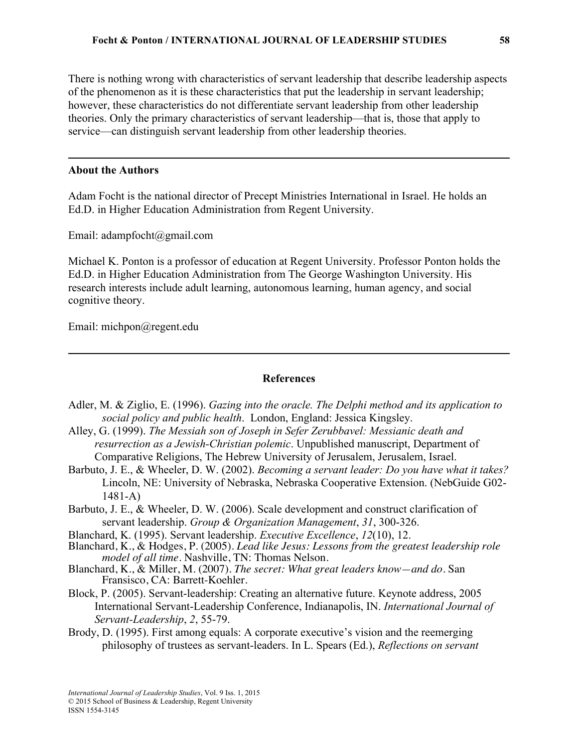There is nothing wrong with characteristics of servant leadership that describe leadership aspects of the phenomenon as it is these characteristics that put the leadership in servant leadership; however, these characteristics do not differentiate servant leadership from other leadership theories. Only the primary characteristics of servant leadership—that is, those that apply to service—can distinguish servant leadership from other leadership theories.

## **About the Authors**

Adam Focht is the national director of Precept Ministries International in Israel. He holds an Ed.D. in Higher Education Administration from Regent University.

Email: adampfocht@gmail.com

Michael K. Ponton is a professor of education at Regent University. Professor Ponton holds the Ed.D. in Higher Education Administration from The George Washington University. His research interests include adult learning, autonomous learning, human agency, and social cognitive theory.

Email: michpon@regent.edu

# **References**

- Adler, M. & Ziglio, E. (1996). *Gazing into the oracle. The Delphi method and its application to social policy and public health*. London, England: Jessica Kingsley.
- Alley, G. (1999). *The Messiah son of Joseph in Sefer Zerubbavel: Messianic death and resurrection as a Jewish-Christian polemic*. Unpublished manuscript, Department of Comparative Religions, The Hebrew University of Jerusalem, Jerusalem, Israel.
- Barbuto, J. E., & Wheeler, D. W. (2002). *Becoming a servant leader: Do you have what it takes?* Lincoln, NE: University of Nebraska, Nebraska Cooperative Extension. (NebGuide G02- 1481-A)
- Barbuto, J. E., & Wheeler, D. W. (2006). Scale development and construct clarification of servant leadership. *Group & Organization Management*, *31*, 300-326.
- Blanchard, K. (1995). Servant leadership. *Executive Excellence*, *12*(10), 12.
- Blanchard, K., & Hodges, P. (2005). *Lead like Jesus: Lessons from the greatest leadership role model of all time*. Nashville, TN: Thomas Nelson.
- Blanchard, K., & Miller, M. (2007). *The secret: What great leaders know—and do*. San Fransisco, CA: Barrett-Koehler.
- Block, P. (2005). Servant-leadership: Creating an alternative future. Keynote address, 2005 International Servant-Leadership Conference, Indianapolis, IN. *International Journal of Servant-Leadership*, *2*, 55-79.
- Brody, D. (1995). First among equals: A corporate executive's vision and the reemerging philosophy of trustees as servant-leaders. In L. Spears (Ed.), *Reflections on servant*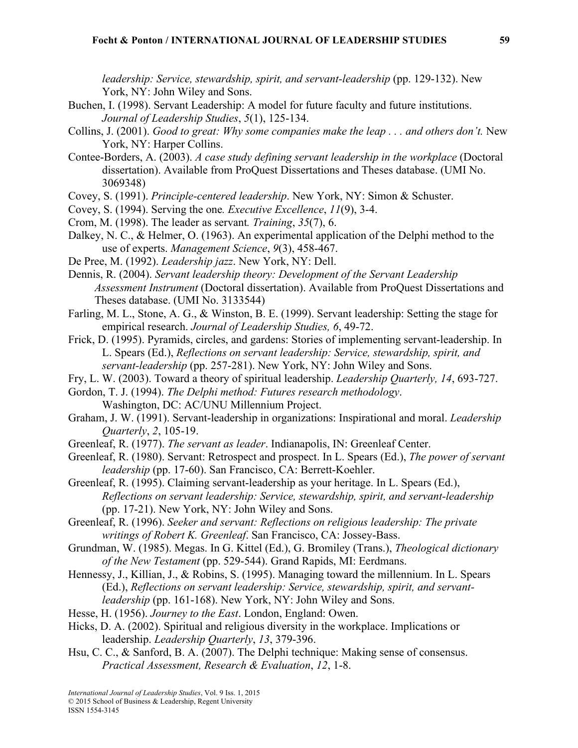*leadership: Service, stewardship, spirit, and servant-leadership (pp. 129-132). New* York, NY: John Wiley and Sons.

- Buchen, I. (1998). Servant Leadership: A model for future faculty and future institutions. *Journal of Leadership Studies*, *5*(1), 125-134.
- Collins, J. (2001). *Good to great: Why some companies make the leap ... and others don't.* New York, NY: Harper Collins.
- Contee-Borders, A. (2003). *A case study defining servant leadership in the workplace* (Doctoral dissertation). Available from ProQuest Dissertations and Theses database. (UMI No. 3069348)
- Covey, S. (1991). *Principle-centered leadership*. New York, NY: Simon & Schuster.
- Covey, S. (1994). Serving the one*. Executive Excellence*, *11*(9), 3-4.
- Crom, M. (1998). The leader as servant*. Training*, *35*(7), 6.
- Dalkey, N. C., & Helmer, O. (1963). An experimental application of the Delphi method to the use of experts. *Management Science*, *9*(3), 458-467.
- De Pree, M. (1992). *Leadership jazz*. New York, NY: Dell.

Dennis, R. (2004). *Servant leadership theory: Development of the Servant Leadership Assessment Instrument* (Doctoral dissertation). Available from ProQuest Dissertations and Theses database. (UMI No. 3133544)

- Farling, M. L., Stone, A. G., & Winston, B. E. (1999). Servant leadership: Setting the stage for empirical research. *Journal of Leadership Studies, 6*, 49-72.
- Frick, D. (1995). Pyramids, circles, and gardens: Stories of implementing servant-leadership. In L. Spears (Ed.), *Reflections on servant leadership: Service, stewardship, spirit, and servant-leadership* (pp. 257-281). New York, NY: John Wiley and Sons.
- Fry, L. W. (2003). Toward a theory of spiritual leadership. *Leadership Quarterly, 14*, 693-727.

Gordon, T. J. (1994). *The Delphi method: Futures research methodology*. Washington, DC: AC/UNU Millennium Project.

- Graham, J. W. (1991). Servant-leadership in organizations: Inspirational and moral. *Leadership Quarterly*, *2*, 105-19.
- Greenleaf, R. (1977). *The servant as leader*. Indianapolis, IN: Greenleaf Center.
- Greenleaf, R. (1980). Servant: Retrospect and prospect. In L. Spears (Ed.), *The power of servant leadership* (pp. 17-60). San Francisco, CA: Berrett-Koehler.

Greenleaf, R. (1995). Claiming servant-leadership as your heritage. In L. Spears (Ed.), *Reflections on servant leadership: Service, stewardship, spirit, and servant-leadership*  (pp. 17-21). New York, NY: John Wiley and Sons.

- Greenleaf, R. (1996). *Seeker and servant: Reflections on religious leadership: The private writings of Robert K. Greenleaf*. San Francisco, CA: Jossey-Bass.
- Grundman, W. (1985). Megas. In G. Kittel (Ed.), G. Bromiley (Trans.), *Theological dictionary of the New Testament* (pp. 529-544). Grand Rapids, MI: Eerdmans.
- Hennessy, J., Killian, J., & Robins, S. (1995). Managing toward the millennium. In L. Spears (Ed.), *Reflections on servant leadership: Service, stewardship, spirit, and servantleadership* (pp. 161-168). New York, NY: John Wiley and Sons.
- Hesse, H. (1956). *Journey to the East*. London, England: Owen.
- Hicks, D. A. (2002). Spiritual and religious diversity in the workplace. Implications or leadership. *Leadership Quarterly*, *13*, 379-396.
- Hsu, C. C., & Sanford, B. A. (2007). The Delphi technique: Making sense of consensus. *Practical Assessment, Research & Evaluation*, *12*, 1-8.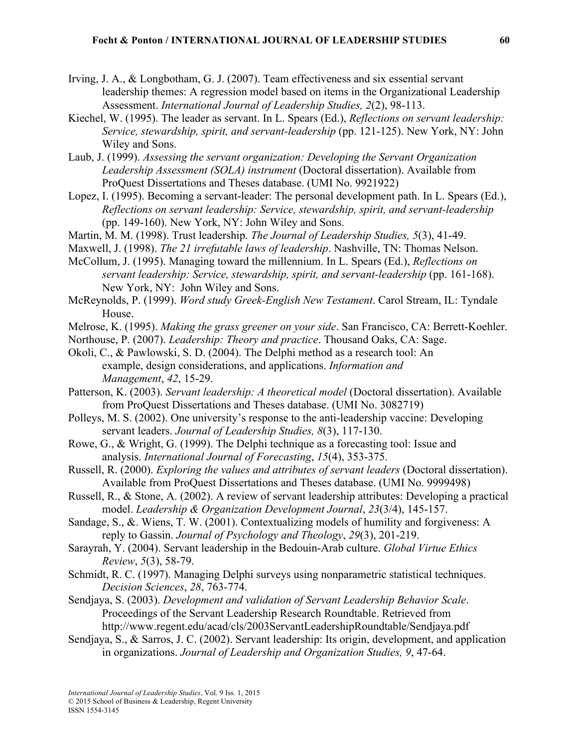- Irving, J. A., & Longbotham, G. J. (2007). Team effectiveness and six essential servant leadership themes: A regression model based on items in the Organizational Leadership Assessment. *International Journal of Leadership Studies, 2*(2), 98-113.
- Kiechel, W. (1995). The leader as servant. In L. Spears (Ed.), *Reflections on servant leadership: Service, stewardship, spirit, and servant-leadership* (pp. 121-125). New York, NY: John Wiley and Sons.
- Laub, J. (1999). *Assessing the servant organization: Developing the Servant Organization Leadership Assessment (SOLA) instrument* (Doctoral dissertation). Available from ProQuest Dissertations and Theses database. (UMI No. 9921922)
- Lopez, I. (1995). Becoming a servant-leader: The personal development path. In L. Spears (Ed.), *Reflections on servant leadership: Service, stewardship, spirit, and servant-leadership*  (pp. 149-160). New York, NY: John Wiley and Sons.
- Martin, M. M. (1998). Trust leadership. *The Journal of Leadership Studies, 5*(3), 41-49.
- Maxwell, J. (1998). *The 21 irrefutable laws of leadership*. Nashville, TN: Thomas Nelson.
- McCollum, J. (1995). Managing toward the millennium. In L. Spears (Ed.), *Reflections on servant leadership: Service, stewardship, spirit, and servant-leadership* (pp. 161-168). New York, NY: John Wiley and Sons.
- McReynolds, P. (1999). *Word study Greek-English New Testament*. Carol Stream, IL: Tyndale House.
- Melrose, K. (1995). *Making the grass greener on your side*. San Francisco, CA: Berrett-Koehler.
- Northouse, P. (2007). *Leadership: Theory and practice*. Thousand Oaks, CA: Sage.
- Okoli, C., & Pawlowski, S. D. (2004). The Delphi method as a research tool: An example, design considerations, and applications. *Information and Management*, *42*, 15-29.
- Patterson, K. (2003). *Servant leadership: A theoretical model* (Doctoral dissertation). Available from ProQuest Dissertations and Theses database. (UMI No. 3082719)
- Polleys, M. S. (2002). One university's response to the anti-leadership vaccine: Developing servant leaders. *Journal of Leadership Studies, 8*(3), 117-130.
- Rowe, G., & Wright, G. (1999). The Delphi technique as a forecasting tool: Issue and analysis. *International Journal of Forecasting*, *15*(4), 353-375.
- Russell, R. (2000). *Exploring the values and attributes of servant leaders* (Doctoral dissertation). Available from ProQuest Dissertations and Theses database. (UMI No. 9999498)
- Russell, R., & Stone, A. (2002). A review of servant leadership attributes: Developing a practical model. *Leadership & Organization Development Journal*, *23*(3/4), 145-157.
- Sandage, S., &. Wiens, T. W. (2001). Contextualizing models of humility and forgiveness: A reply to Gassin. *Journal of Psychology and Theology*, *29*(3), 201-219.
- Sarayrah, Y. (2004). Servant leadership in the Bedouin-Arab culture. *Global Virtue Ethics Review*, *5*(3), 58-79.
- Schmidt, R. C. (1997). Managing Delphi surveys using nonparametric statistical techniques. *Decision Sciences*, *28*, 763-774.
- Sendjaya, S. (2003). *Development and validation of Servant Leadership Behavior Scale*. Proceedings of the Servant Leadership Research Roundtable. Retrieved from http://www.regent.edu/acad/cls/2003ServantLeadershipRoundtable/Sendjaya.pdf
- Sendjaya, S., & Sarros, J. C. (2002). Servant leadership: Its origin, development, and application in organizations. *Journal of Leadership and Organization Studies, 9*, 47-64.